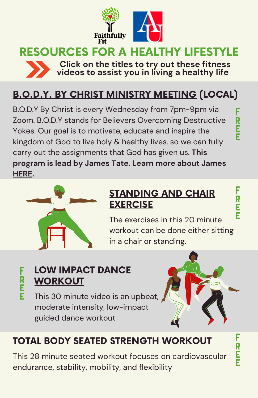

# RESOURCES FOR A HEALTHY LIFESTYLE



**Click on the titles to try out these fitness videos to assist you in living a healthy life**

## [B.O.D.Y.](https://zoom.us/meeting/register/tJwsceyprTkjHNFnkBttQOfmhv-c3QAsgNQW) BY CHRIST MINISTRY MEETING (LOCAL)

B.O.D.Y By Christ is every Wednesday from 7pm-9pm via Zoom. B.O.D.Y stands for Believers Overcoming Destructive Yokes. Our goal is to motivate, educate and inspire the kingdom of God to live holy & healthy lives, so we can fully carry out the assignments that God has given us. **This program is lead by James Tate. Learn more about James [HERE.](http://beyondw8loss.com/)**



#### [STANDING](https://youtu.be/KbFz38FUuiA) AND CHAIR **EXERCISE**

The exercises in this 20 minute workout can be done either sitting in a chair or standing.

## LOW IMPACT DANCE **[WORKOUT](https://youtu.be/tfdy5AahM4M)**

This 30 minute video is an upbeat, moderate intensity, low-impact guided dance workout



## TOTAL BODY SEATED STRENGTH [WORKOUT](https://youtu.be/njyO78yCY9s)

This 28 minute seated workout focuses on cardiovascular endurance, stability, mobility, and flexibility

F .<br>R e e

F .<br>R e e

F r e e